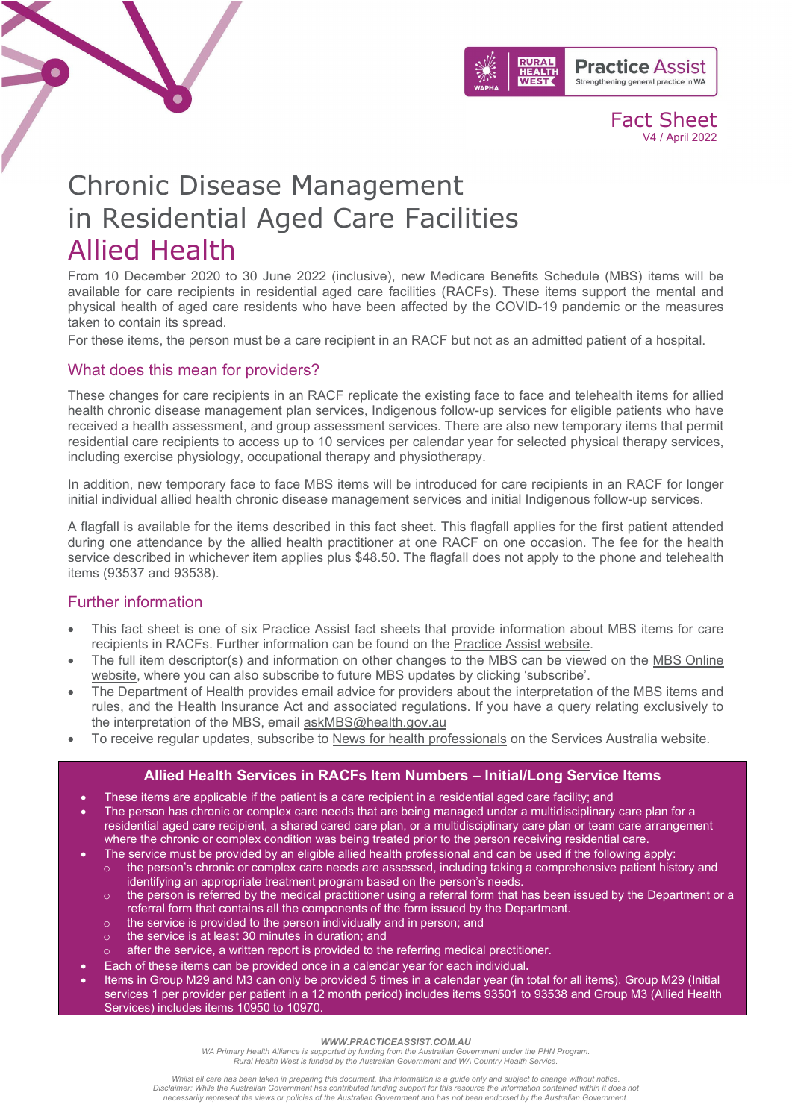

Fact Sheet V4 / April 2022

# Chronic Disease Management in Residential Aged Care Facilities Allied Health

From 10 December 2020 to 30 June 2022 (inclusive), new Medicare Benefits Schedule (MBS) items will be available for care recipients in residential aged care facilities (RACFs). These items support the mental and physical health of aged care residents who have been affected by the COVID-19 pandemic or the measures taken to contain its spread.

For these items, the person must be a care recipient in an RACF but not as an admitted patient of a hospital.

## What does this mean for providers?

These changes for care recipients in an RACF replicate the existing face to face and telehealth items for allied health chronic disease management plan services, Indigenous follow-up services for eligible patients who have received a health assessment, and group assessment services. There are also new temporary items that permit residential care recipients to access up to 10 services per calendar year for selected physical therapy services, including exercise physiology, occupational therapy and physiotherapy.

In addition, new temporary face to face MBS items will be introduced for care recipients in an RACF for longer initial individual allied health chronic disease management services and initial Indigenous follow-up services.

A flagfall is available for the items described in this fact sheet. This flagfall applies for the first patient attended during one attendance by the allied health practitioner at one RACF on one occasion. The fee for the health service described in whichever item applies plus \$48.50. The flagfall does not apply to the phone and telehealth items (93537 and 93538).

## Further information

- This fact sheet is one of six Practice Assist fact sheets that provide information about MBS items for care recipients in RACFs. Further information can be found on the [Practice Assist website.](https://www.practiceassist.com.au/)
- The full item descriptor(s) and information on other changes to the MBS can be viewed on the MBS Online [website,](http://www.mbsonline.gov.au/) where you can also subscribe to future MBS updates by clicking 'subscribe'.
- The Department of Health provides email advice for providers about the interpretation of the MBS items and rules, and the Health Insurance Act and associated regulations. If you have a query relating exclusively to the interpretation of the MBS, email [askMBS@health.gov.au](mailto:askMBS@health.gov.au)
- To receive regular updates, subscribe to [News for health professionals](https://www.humanservices.gov.au/organisations/health-professionals/news/all) on the Services Australia website.

## **Allied Health Services in RACFs Item Numbers – Initial/Long Service Items**

- These items are applicable if the patient is a care recipient in a residential aged care facility; and
- The person has chronic or complex care needs that are being managed under a multidisciplinary care plan for a residential aged care recipient, a shared cared care plan, or a multidisciplinary care plan or team care arrangement where the chronic or complex condition was being treated prior to the person receiving residential care.
	- The service must be provided by an eligible allied health professional and can be used if the following apply:
	- $\circ$  the person's chronic or complex care needs are assessed, including taking a comprehensive patient history and identifying an appropriate treatment program based on the person's needs.
	- $\circ$  the person is referred by the medical practitioner using a referral form that has been issued by the Department or a referral form that contains all the components of the form issued by the Department.
	- o the service is provided to the person individually and in person; and
	- o the service is at least 30 minutes in duration; and
	- after the service, a written report is provided to the referring medical practitioner.
- Each of these items can be provided once in a calendar year for each individual**.**
- Items in Group M29 and M3 can only be provided 5 times in a calendar year (in total for all items). Group M29 (Initial services 1 per provider per patient in a 12 month period) includes items 93501 to 93538 and Group M3 (Allied Health Services) includes items 10950 to 10970.

#### *WWW.PRACTICEASSIST.COM.AU*

*WA Primary Health Alliance is supported by funding from the Australian Government under the PHN Program. Rural Health West is funded by the Australian Government and WA Country Health Service.* 

*Whilst all care has been taken in preparing this document, this information is a guide only and subject to change without notice.* Disclaimer: While the Australian Government has contributed funding support for this resource the information contained within it does not<br>necessarily represent the views or policies of the Australian Government and has no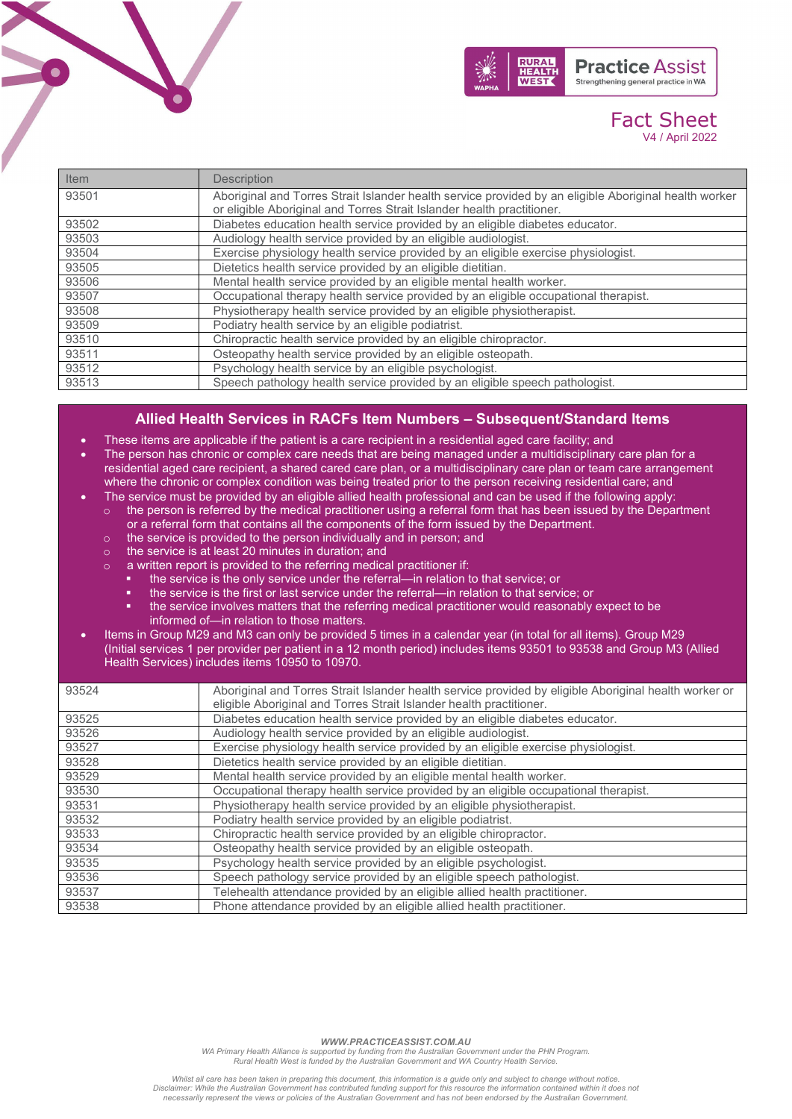

# Fact Sheet V4 / April 2022

| Item  | <b>Description</b>                                                                                    |
|-------|-------------------------------------------------------------------------------------------------------|
| 93501 | Aboriginal and Torres Strait Islander health service provided by an eligible Aboriginal health worker |
|       | or eligible Aboriginal and Torres Strait Islander health practitioner.                                |
| 93502 | Diabetes education health service provided by an eligible diabetes educator.                          |
| 93503 | Audiology health service provided by an eligible audiologist.                                         |
| 93504 | Exercise physiology health service provided by an eligible exercise physiologist.                     |
| 93505 | Dietetics health service provided by an eligible dietitian.                                           |
| 93506 | Mental health service provided by an eligible mental health worker.                                   |
| 93507 | Occupational therapy health service provided by an eligible occupational therapist.                   |
| 93508 | Physiotherapy health service provided by an eligible physiotherapist.                                 |
| 93509 | Podiatry health service by an eligible podiatrist.                                                    |
| 93510 | Chiropractic health service provided by an eligible chiropractor.                                     |
| 93511 | Osteopathy health service provided by an eligible osteopath.                                          |
| 93512 | Psychology health service by an eligible psychologist.                                                |
| 93513 | Speech pathology health service provided by an eligible speech pathologist.                           |

## **Allied Health Services in RACFs Item Numbers – Subsequent/Standard Items**

- These items are applicable if the patient is a care recipient in a residential aged care facility; and
- The person has chronic or complex care needs that are being managed under a multidisciplinary care plan for a residential aged care recipient, a shared cared care plan, or a multidisciplinary care plan or team care arrangement where the chronic or complex condition was being treated prior to the person receiving residential care; and
	- The service must be provided by an eligible allied health professional and can be used if the following apply:
		- $\circ$  the person is referred by the medical practitioner using a referral form that has been issued by the Department or a referral form that contains all the components of the form issued by the Department.
		- o the service is provided to the person individually and in person; and
		- o the service is at least 20 minutes in duration; and
		- o a written report is provided to the referring medical practitioner if:
			- the service is the only service under the referral—in relation to that service; or
			- the service is the first or last service under the referral—in relation to that service; or
			- the service involves matters that the referring medical practitioner would reasonably expect to be informed of—in relation to those matters.
- Items in Group M29 and M3 can only be provided 5 times in a calendar year (in total for all items). Group M29 (Initial services 1 per provider per patient in a 12 month period) includes items 93501 to 93538 and Group M3 (Allied Health Services) includes items 10950 to 10970.

| 93524 | Aboriginal and Torres Strait Islander health service provided by eligible Aboriginal health worker or |
|-------|-------------------------------------------------------------------------------------------------------|
|       | eligible Aboriginal and Torres Strait Islander health practitioner.                                   |
| 93525 | Diabetes education health service provided by an eligible diabetes educator.                          |
| 93526 | Audiology health service provided by an eligible audiologist.                                         |
| 93527 | Exercise physiology health service provided by an eligible exercise physiologist.                     |
| 93528 | Dietetics health service provided by an eligible dietitian.                                           |
| 93529 | Mental health service provided by an eligible mental health worker.                                   |
| 93530 | Occupational therapy health service provided by an eligible occupational therapist.                   |
| 93531 | Physiotherapy health service provided by an eligible physiotherapist.                                 |
| 93532 | Podiatry health service provided by an eligible podiatrist.                                           |
| 93533 | Chiropractic health service provided by an eligible chiropractor.                                     |
| 93534 | Osteopathy health service provided by an eligible osteopath.                                          |
| 93535 | Psychology health service provided by an eligible psychologist.                                       |
| 93536 | Speech pathology service provided by an eligible speech pathologist.                                  |
| 93537 | Telehealth attendance provided by an eligible allied health practitioner.                             |
| 93538 | Phone attendance provided by an eligible allied health practitioner.                                  |

*WWW.PRACTICEASSIST.COM.AU*

*WA Primary Health Alliance is supported by funding from the Australian Government under the PHN Program. Rural Health West is funded by the Australian Government and WA Country Health Service.* 

*Whilst all care has been taken in preparing this document, this information is a guide only and subject to change without notice.* Disclaimer: While the Australian Government has contributed funding support for this resource the information contained within it does not<br>necessarily represent the views or policies of the Australian Government and has no